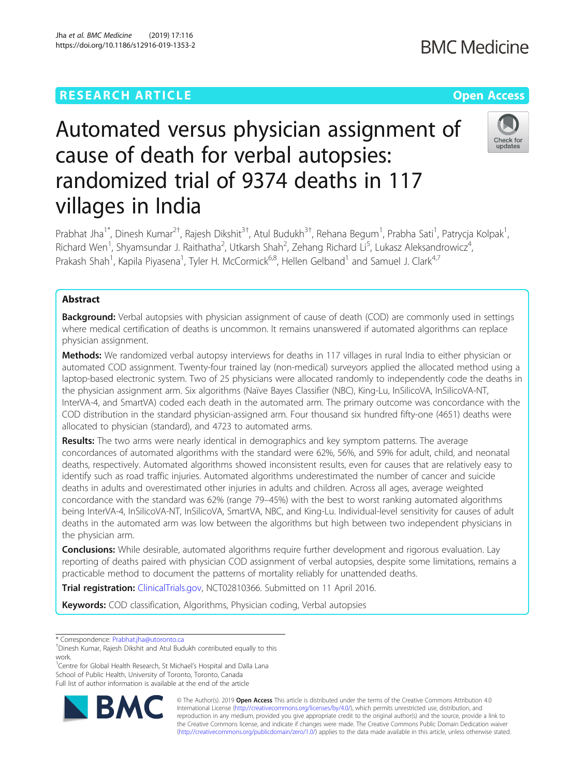# **RESEARCH ARTICLE Example 2018 12:30 THE Open Access**

# Automated versus physician assignment of cause of death for verbal autopsies: randomized trial of 9374 deaths in 117 villages in India

Prabhat Jha<sup>1\*</sup>, Dinesh Kumar<sup>2†</sup>, Rajesh Dikshit<sup>3†</sup>, Atul Budukh<sup>3†</sup>, Rehana Begum<sup>1</sup>, Prabha Sati<sup>1</sup>, Patrycja Kolpak<sup>1</sup> , Richard Wen<sup>1</sup>, Shyamsundar J. Raithatha<sup>2</sup>, Utkarsh Shah<sup>2</sup>, Zehang Richard Li<sup>5</sup>, Lukasz Aleksandrowicz<sup>4</sup> , Prakash Shah<sup>1</sup>, Kapila Piyasena<sup>1</sup>, Tyler H. McCormick<sup>6,8</sup>, Hellen Gelband<sup>1</sup> and Samuel J. Clark<sup>4,7</sup>

# Abstract

**Background:** Verbal autopsies with physician assignment of cause of death (COD) are commonly used in settings where medical certification of deaths is uncommon. It remains unanswered if automated algorithms can replace physician assignment.

Methods: We randomized verbal autopsy interviews for deaths in 117 villages in rural India to either physician or automated COD assignment. Twenty-four trained lay (non-medical) surveyors applied the allocated method using a laptop-based electronic system. Two of 25 physicians were allocated randomly to independently code the deaths in the physician assignment arm. Six algorithms (Naïve Bayes Classifier (NBC), King-Lu, InSilicoVA, InSilicoVA-NT, InterVA-4, and SmartVA) coded each death in the automated arm. The primary outcome was concordance with the COD distribution in the standard physician-assigned arm. Four thousand six hundred fifty-one (4651) deaths were allocated to physician (standard), and 4723 to automated arms.

Results: The two arms were nearly identical in demographics and key symptom patterns. The average concordances of automated algorithms with the standard were 62%, 56%, and 59% for adult, child, and neonatal deaths, respectively. Automated algorithms showed inconsistent results, even for causes that are relatively easy to identify such as road traffic injuries. Automated algorithms underestimated the number of cancer and suicide deaths in adults and overestimated other injuries in adults and children. Across all ages, average weighted concordance with the standard was 62% (range 79–45%) with the best to worst ranking automated algorithms being InterVA-4, InSilicoVA-NT, InSilicoVA, SmartVA, NBC, and King-Lu. Individual-level sensitivity for causes of adult deaths in the automated arm was low between the algorithms but high between two independent physicians in the physician arm.

**Conclusions:** While desirable, automated algorithms require further development and rigorous evaluation. Lay reporting of deaths paired with physician COD assignment of verbal autopsies, despite some limitations, remains a practicable method to document the patterns of mortality reliably for unattended deaths.

Trial registration: [ClinicalTrials.gov](https://clinicaltrials.gov), NCT02810366. Submitted on 11 April 2016.

Keywords: COD classification, Algorithms, Physician coding, Verbal autopsies

\* Correspondence: [Prabhat.jha@utoronto.ca](mailto:Prabhat.jha@utoronto.ca) †

<sup>1</sup>Centre for Global Health Research, St Michael's Hospital and Dalla Lana School of Public Health, University of Toronto, Toronto, Canada Full list of author information is available at the end of the article

> © The Author(s). 2019 **Open Access** This article is distributed under the terms of the Creative Commons Attribution 4.0 International License [\(http://creativecommons.org/licenses/by/4.0/](http://creativecommons.org/licenses/by/4.0/)), which permits unrestricted use, distribution, and reproduction in any medium, provided you give appropriate credit to the original author(s) and the source, provide a link to the Creative Commons license, and indicate if changes were made. The Creative Commons Public Domain Dedication waiver [\(http://creativecommons.org/publicdomain/zero/1.0/](http://creativecommons.org/publicdomain/zero/1.0/)) applies to the data made available in this article, unless otherwise stated.





Dinesh Kumar, Rajesh Dikshit and Atul Budukh contributed equally to this work.

Jha et al. BMC Medicine (2019) 17:116 https://doi.org/10.1186/s12916-019-1353-2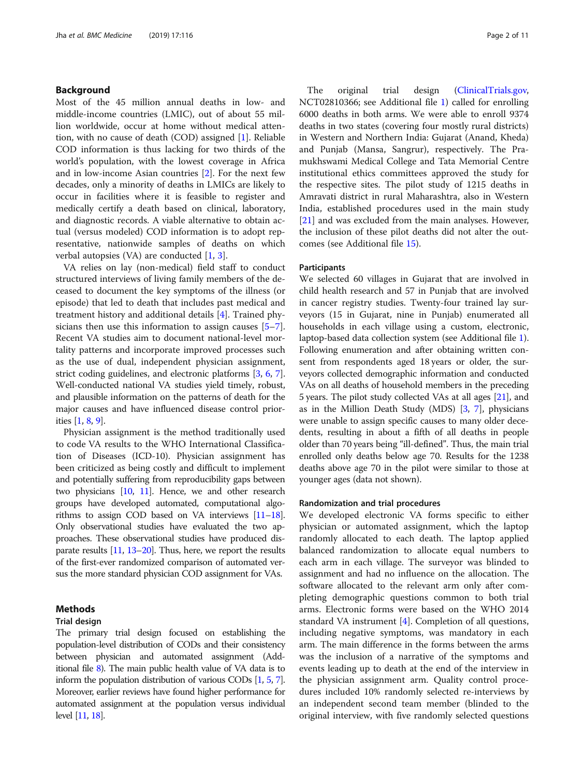# Background

Most of the 45 million annual deaths in low- and middle-income countries (LMIC), out of about 55 million worldwide, occur at home without medical attention, with no cause of death (COD) assigned [\[1](#page-9-0)]. Reliable COD information is thus lacking for two thirds of the world's population, with the lowest coverage in Africa and in low-income Asian countries [[2](#page-9-0)]. For the next few decades, only a minority of deaths in LMICs are likely to occur in facilities where it is feasible to register and medically certify a death based on clinical, laboratory, and diagnostic records. A viable alternative to obtain actual (versus modeled) COD information is to adopt representative, nationwide samples of deaths on which verbal autopsies (VA) are conducted [[1,](#page-9-0) [3\]](#page-9-0).

VA relies on lay (non-medical) field staff to conduct structured interviews of living family members of the deceased to document the key symptoms of the illness (or episode) that led to death that includes past medical and treatment history and additional details [[4\]](#page-9-0). Trained physicians then use this information to assign causes [\[5](#page-9-0)–[7](#page-9-0)]. Recent VA studies aim to document national-level mortality patterns and incorporate improved processes such as the use of dual, independent physician assignment, strict coding guidelines, and electronic platforms [\[3](#page-9-0), [6](#page-9-0), [7](#page-9-0)]. Well-conducted national VA studies yield timely, robust, and plausible information on the patterns of death for the major causes and have influenced disease control priorities [\[1](#page-9-0), [8,](#page-9-0) [9](#page-9-0)].

Physician assignment is the method traditionally used to code VA results to the WHO International Classification of Diseases (ICD-10). Physician assignment has been criticized as being costly and difficult to implement and potentially suffering from reproducibility gaps between two physicians [\[10,](#page-9-0) [11\]](#page-9-0). Hence, we and other research groups have developed automated, computational algorithms to assign COD based on VA interviews [[11](#page-9-0)–[18](#page-10-0)]. Only observational studies have evaluated the two approaches. These observational studies have produced disparate results [\[11](#page-9-0), [13](#page-9-0)–[20\]](#page-10-0). Thus, here, we report the results of the first-ever randomized comparison of automated versus the more standard physician COD assignment for VAs.

# Methods

### Trial design

The primary trial design focused on establishing the population-level distribution of CODs and their consistency between physician and automated assignment (Additional file [8\)](#page-8-0). The main public health value of VA data is to inform the population distribution of various CODs [\[1,](#page-9-0) [5](#page-9-0), [7\]](#page-9-0). Moreover, earlier reviews have found higher performance for automated assignment at the population versus individual level [\[11](#page-9-0), [18](#page-10-0)].

The original trial design ([ClinicalTrials.gov,](http://clinicaltrials.gov) NCT02810366; see Additional file [1\)](#page-8-0) called for enrolling 6000 deaths in both arms. We were able to enroll 9374 deaths in two states (covering four mostly rural districts) in Western and Northern India: Gujarat (Anand, Kheda) and Punjab (Mansa, Sangrur), respectively. The Pramukhswami Medical College and Tata Memorial Centre institutional ethics committees approved the study for the respective sites. The pilot study of 1215 deaths in Amravati district in rural Maharashtra, also in Western India, established procedures used in the main study [[21\]](#page-10-0) and was excluded from the main analyses. However, the inclusion of these pilot deaths did not alter the outcomes (see Additional file [15](#page-9-0)).

#### **Participants**

We selected 60 villages in Gujarat that are involved in child health research and 57 in Punjab that are involved in cancer registry studies. Twenty-four trained lay surveyors (15 in Gujarat, nine in Punjab) enumerated all households in each village using a custom, electronic, laptop-based data collection system (see Additional file [1](#page-8-0)). Following enumeration and after obtaining written consent from respondents aged 18 years or older, the surveyors collected demographic information and conducted VAs on all deaths of household members in the preceding 5 years. The pilot study collected VAs at all ages [[21\]](#page-10-0), and as in the Million Death Study (MDS) [[3](#page-9-0), [7\]](#page-9-0), physicians were unable to assign specific causes to many older decedents, resulting in about a fifth of all deaths in people older than 70 years being "ill-defined". Thus, the main trial enrolled only deaths below age 70. Results for the 1238 deaths above age 70 in the pilot were similar to those at younger ages (data not shown).

# Randomization and trial procedures

We developed electronic VA forms specific to either physician or automated assignment, which the laptop randomly allocated to each death. The laptop applied balanced randomization to allocate equal numbers to each arm in each village. The surveyor was blinded to assignment and had no influence on the allocation. The software allocated to the relevant arm only after completing demographic questions common to both trial arms. Electronic forms were based on the WHO 2014 standard VA instrument [[4\]](#page-9-0). Completion of all questions, including negative symptoms, was mandatory in each arm. The main difference in the forms between the arms was the inclusion of a narrative of the symptoms and events leading up to death at the end of the interview in the physician assignment arm. Quality control procedures included 10% randomly selected re-interviews by an independent second team member (blinded to the original interview, with five randomly selected questions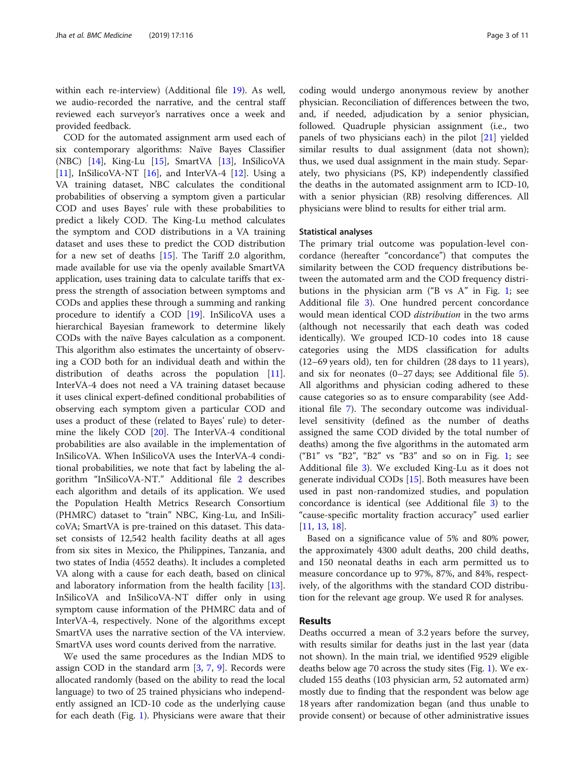within each re-interview) (Additional file [19](#page-9-0)). As well, we audio-recorded the narrative, and the central staff reviewed each surveyor's narratives once a week and provided feedback.

COD for the automated assignment arm used each of six contemporary algorithms: Naïve Bayes Classifier (NBC) [[14\]](#page-9-0), King-Lu [\[15\]](#page-9-0), SmartVA [\[13](#page-9-0)], InSilicoVA [[11\]](#page-9-0), InSilicoVA-NT  $[16]$  $[16]$ , and InterVA-4  $[12]$ . Using a VA training dataset, NBC calculates the conditional probabilities of observing a symptom given a particular COD and uses Bayes' rule with these probabilities to predict a likely COD. The King-Lu method calculates the symptom and COD distributions in a VA training dataset and uses these to predict the COD distribution for a new set of deaths [[15](#page-9-0)]. The Tariff 2.0 algorithm, made available for use via the openly available SmartVA application, uses training data to calculate tariffs that express the strength of association between symptoms and CODs and applies these through a summing and ranking procedure to identify a COD [\[19](#page-10-0)]. InSilicoVA uses a hierarchical Bayesian framework to determine likely CODs with the naïve Bayes calculation as a component. This algorithm also estimates the uncertainty of observing a COD both for an individual death and within the distribution of deaths across the population [\[11](#page-9-0)]. InterVA-4 does not need a VA training dataset because it uses clinical expert-defined conditional probabilities of observing each symptom given a particular COD and uses a product of these (related to Bayes' rule) to determine the likely COD [[20](#page-10-0)]. The InterVA-4 conditional probabilities are also available in the implementation of InSilicoVA. When InSilicoVA uses the InterVA-4 conditional probabilities, we note that fact by labeling the algorithm "InSilicoVA-NT." Additional file [2](#page-8-0) describes each algorithm and details of its application. We used the Population Health Metrics Research Consortium (PHMRC) dataset to "train" NBC, King-Lu, and InSilicoVA; SmartVA is pre-trained on this dataset. This dataset consists of 12,542 health facility deaths at all ages from six sites in Mexico, the Philippines, Tanzania, and two states of India (4552 deaths). It includes a completed VA along with a cause for each death, based on clinical and laboratory information from the health facility [\[13](#page-9-0)]. InSilicoVA and InSilicoVA-NT differ only in using symptom cause information of the PHMRC data and of InterVA-4, respectively. None of the algorithms except SmartVA uses the narrative section of the VA interview. SmartVA uses word counts derived from the narrative.

We used the same procedures as the Indian MDS to assign COD in the standard arm [[3,](#page-9-0) [7](#page-9-0), [9](#page-9-0)]. Records were allocated randomly (based on the ability to read the local language) to two of 25 trained physicians who independently assigned an ICD-10 code as the underlying cause for each death (Fig. [1\)](#page-3-0). Physicians were aware that their coding would undergo anonymous review by another physician. Reconciliation of differences between the two, and, if needed, adjudication by a senior physician, followed. Quadruple physician assignment (i.e., two panels of two physicians each) in the pilot [[21\]](#page-10-0) yielded similar results to dual assignment (data not shown); thus, we used dual assignment in the main study. Separately, two physicians (PS, KP) independently classified the deaths in the automated assignment arm to ICD-10, with a senior physician (RB) resolving differences. All physicians were blind to results for either trial arm.

#### Statistical analyses

The primary trial outcome was population-level concordance (hereafter "concordance") that computes the similarity between the COD frequency distributions between the automated arm and the COD frequency distributions in the physician arm ("B vs A" in Fig. [1;](#page-3-0) see Additional file [3](#page-8-0)). One hundred percent concordance would mean identical COD distribution in the two arms (although not necessarily that each death was coded identically). We grouped ICD-10 codes into 18 cause categories using the MDS classification for adults (12–69 years old), ten for children (28 days to 11 years), and six for neonates (0–27 days; see Additional file [5](#page-8-0)). All algorithms and physician coding adhered to these cause categories so as to ensure comparability (see Additional file [7](#page-8-0)). The secondary outcome was individuallevel sensitivity (defined as the number of deaths assigned the same COD divided by the total number of deaths) among the five algorithms in the automated arm ("B1" vs "B2", "B2" vs "B3" and so on in Fig. [1;](#page-3-0) see Additional file [3\)](#page-8-0). We excluded King-Lu as it does not generate individual CODs [[15](#page-9-0)]. Both measures have been used in past non-randomized studies, and population concordance is identical (see Additional file [3](#page-8-0)) to the "cause-specific mortality fraction accuracy" used earlier [[11,](#page-9-0) [13,](#page-9-0) [18\]](#page-10-0).

Based on a significance value of 5% and 80% power, the approximately 4300 adult deaths, 200 child deaths, and 150 neonatal deaths in each arm permitted us to measure concordance up to 97%, 87%, and 84%, respectively, of the algorithms with the standard COD distribution for the relevant age group. We used R for analyses.

# Results

Deaths occurred a mean of 3.2 years before the survey, with results similar for deaths just in the last year (data not shown). In the main trial, we identified 9529 eligible deaths below age 70 across the study sites (Fig. [1\)](#page-3-0). We excluded 155 deaths (103 physician arm, 52 automated arm) mostly due to finding that the respondent was below age 18 years after randomization began (and thus unable to provide consent) or because of other administrative issues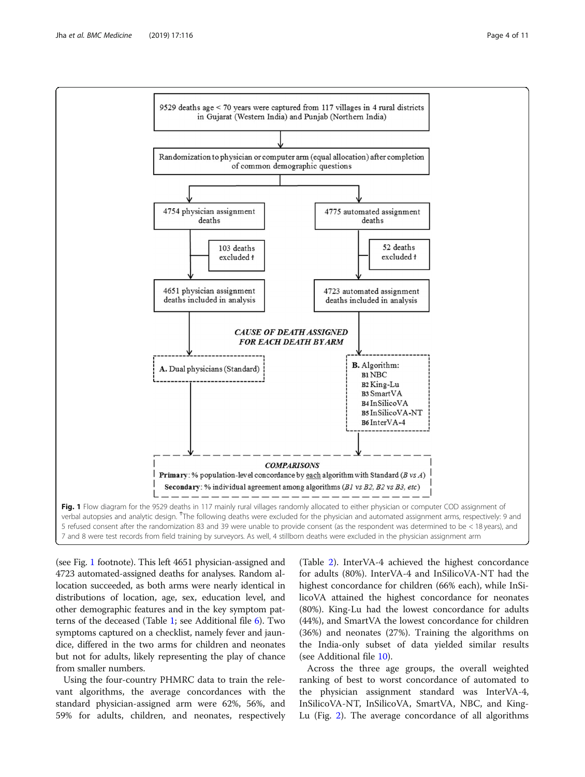<span id="page-3-0"></span>

(see Fig. 1 footnote). This left 4651 physician-assigned and 4723 automated-assigned deaths for analyses. Random allocation succeeded, as both arms were nearly identical in distributions of location, age, sex, education level, and other demographic features and in the key symptom patterns of the deceased (Table [1](#page-4-0); see Additional file [6\)](#page-8-0). Two symptoms captured on a checklist, namely fever and jaundice, differed in the two arms for children and neonates but not for adults, likely representing the play of chance from smaller numbers.

Using the four-country PHMRC data to train the relevant algorithms, the average concordances with the standard physician-assigned arm were 62%, 56%, and 59% for adults, children, and neonates, respectively

(Table [2\)](#page-5-0). InterVA-4 achieved the highest concordance for adults (80%). InterVA-4 and InSilicoVA-NT had the highest concordance for children (66% each), while InSilicoVA attained the highest concordance for neonates (80%). King-Lu had the lowest concordance for adults (44%), and SmartVA the lowest concordance for children (36%) and neonates (27%). Training the algorithms on the India-only subset of data yielded similar results (see Additional file [10\)](#page-8-0).

Across the three age groups, the overall weighted ranking of best to worst concordance of automated to the physician assignment standard was InterVA-4, InSilicoVA-NT, InSilicoVA, SmartVA, NBC, and King-Lu (Fig. [2](#page-5-0)). The average concordance of all algorithms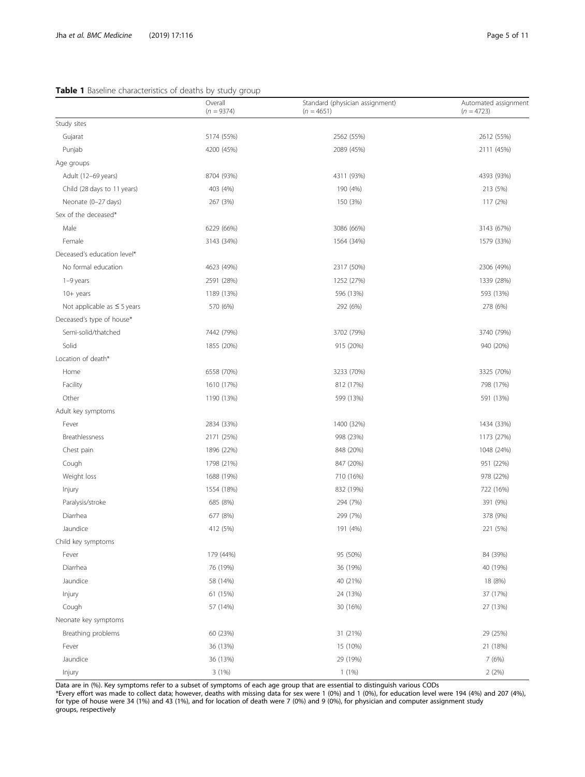# <span id="page-4-0"></span>Table 1 Baseline characteristics of deaths by study group

|                                  | Overall<br>$(n = 9374)$ | Standard (physician assignment)<br>$(n = 4651)$ | Automated assignment<br>$(n = 4723)$ |
|----------------------------------|-------------------------|-------------------------------------------------|--------------------------------------|
| Study sites                      |                         |                                                 |                                      |
| Gujarat                          | 5174 (55%)              | 2562 (55%)                                      | 2612 (55%)                           |
| Punjab                           | 4200 (45%)              | 2089 (45%)                                      | 2111 (45%)                           |
| Age groups                       |                         |                                                 |                                      |
| Adult (12-69 years)              | 8704 (93%)              | 4311 (93%)                                      | 4393 (93%)                           |
| Child (28 days to 11 years)      | 403 (4%)                | 190 (4%)                                        | 213 (5%)                             |
| Neonate (0-27 days)              | 267 (3%)                | 150 (3%)                                        | 117 (2%)                             |
| Sex of the deceased*             |                         |                                                 |                                      |
| Male                             | 6229 (66%)              | 3086 (66%)                                      | 3143 (67%)                           |
| Female                           | 3143 (34%)              | 1564 (34%)                                      | 1579 (33%)                           |
| Deceased's education level*      |                         |                                                 |                                      |
| No formal education              | 4623 (49%)              | 2317 (50%)                                      | 2306 (49%)                           |
| 1-9 years                        | 2591 (28%)              | 1252 (27%)                                      | 1339 (28%)                           |
| $10+$ years                      | 1189 (13%)              | 596 (13%)                                       | 593 (13%)                            |
| Not applicable as $\leq$ 5 years | 570 (6%)                | 292 (6%)                                        | 278 (6%)                             |
| Deceased's type of house*        |                         |                                                 |                                      |
| Semi-solid/thatched              | 7442 (79%)              | 3702 (79%)                                      | 3740 (79%)                           |
| Solid                            | 1855 (20%)              | 915 (20%)                                       | 940 (20%)                            |
| Location of death*               |                         |                                                 |                                      |
| Home                             | 6558 (70%)              | 3233 (70%)                                      | 3325 (70%)                           |
| Facility                         | 1610 (17%)              | 812 (17%)                                       | 798 (17%)                            |
| Other                            | 1190 (13%)              | 599 (13%)                                       | 591 (13%)                            |
| Adult key symptoms               |                         |                                                 |                                      |
| Fever                            | 2834 (33%)              | 1400 (32%)                                      | 1434 (33%)                           |
| Breathlessness                   | 2171 (25%)              | 998 (23%)                                       | 1173 (27%)                           |
| Chest pain                       | 1896 (22%)              | 848 (20%)                                       | 1048 (24%)                           |
| Cough                            | 1798 (21%)              | 847 (20%)                                       | 951 (22%)                            |
| Weight loss                      | 1688 (19%)              | 710 (16%)                                       | 978 (22%)                            |
| Injury                           | 1554 (18%)              | 832 (19%)                                       | 722 (16%)                            |
| Paralysis/stroke                 | 685 (8%)                | 294 (7%)                                        | 391 (9%)                             |
| Diarrhea                         | 677 (8%)                | 299 (7%)                                        | 378 (9%)                             |
| Jaundice                         | 412 (5%)                | 191 (4%)                                        | 221 (5%)                             |
| Child key symptoms               |                         |                                                 |                                      |
| Fever                            | 179 (44%)               | 95 (50%)                                        | 84 (39%)                             |
| Diarrhea                         | 76 (19%)                | 36 (19%)                                        | 40 (19%)                             |
| Jaundice                         | 58 (14%)                | 40 (21%)                                        | 18 (8%)                              |
| Injury                           | 61 (15%)                | 24 (13%)                                        | 37 (17%)                             |
| Cough                            | 57 (14%)                | 30 (16%)                                        | 27 (13%)                             |
| Neonate key symptoms             |                         |                                                 |                                      |
| Breathing problems               | 60 (23%)                | 31 (21%)                                        | 29 (25%)                             |
| Fever                            | 36 (13%)                | 15 (10%)                                        | 21 (18%)                             |
| Jaundice                         | 36 (13%)                | 29 (19%)                                        | 7 (6%)                               |
| Injury                           | 3 (1%)                  | $1(1\%)$                                        | 2(2%)                                |

Data are in (%). Key symptoms refer to a subset of symptoms of each age group that are essential to distinguish various CODs

\*Every effort was made to collect data; however, deaths with missing data for sex were 1 (0%) and 1 (0%), for education level were 194 (4%) and 207 (4%), for type of house were 34 (1%) and 43 (1%), and for location of death were 7 (0%) and 9 (0%), for physician and computer assignment study groups, respectively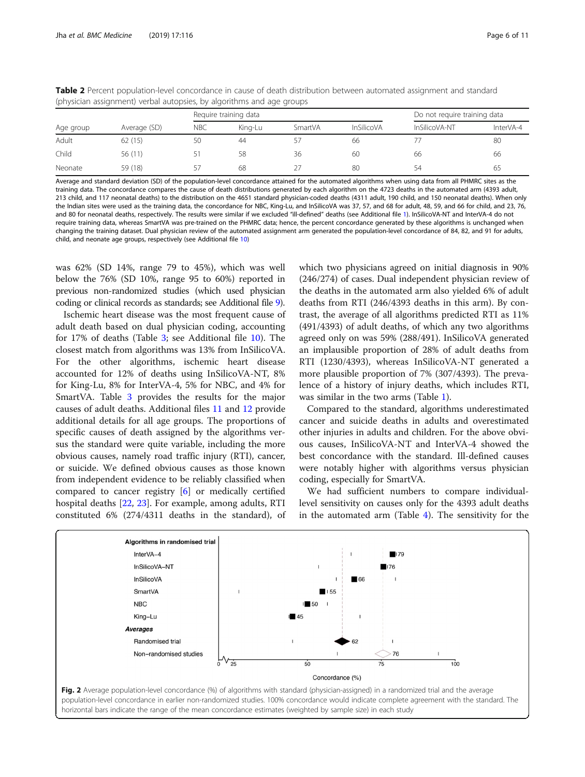|           |              | Require training data |         |         |                   | Do not require training data |           |
|-----------|--------------|-----------------------|---------|---------|-------------------|------------------------------|-----------|
| Age group | Average (SD) | <b>NBC</b>            | King-Lu | SmartVA | <b>InSilicoVA</b> | InSilicoVA-NT                | InterVA-4 |
| Adult     | 62(15)       | 50                    | 44      |         | 66                |                              | 80        |
| Child     | 56 (11)      |                       | 58      | 36      | 60                | 66                           | 66        |
| Neonate   | 59 (18)      | 57                    | 68      |         | 80                | 54                           | 65        |

<span id="page-5-0"></span>Table 2 Percent population-level concordance in cause of death distribution between automated assignment and standard (physician assignment) verbal autopsies, by algorithms and age groups

Average and standard deviation (SD) of the population-level concordance attained for the automated algorithms when using data from all PHMRC sites as the training data. The concordance compares the cause of death distributions generated by each algorithm on the 4723 deaths in the automated arm (4393 adult, 213 child, and 117 neonatal deaths) to the distribution on the 4651 standard physician-coded deaths (4311 adult, 190 child, and 150 neonatal deaths). When only the Indian sites were used as the training data, the concordance for NBC, King-Lu, and InSilicoVA was 37, 57, and 68 for adult, 48, 59, and 66 for child, and 23, 76, and 80 for neonatal deaths, respectively. The results were similar if we excluded "ill-defined" deaths (see Additional file [1](#page-8-0)). InSilicoVA-NT and InterVA-4 do not require training data, whereas SmartVA was pre-trained on the PHMRC data; hence, the percent concordance generated by these algorithms is unchanged when changing the training dataset. Dual physician review of the automated assignment arm generated the population-level concordance of 84, 82, and 91 for adults, child, and neonate age groups, respectively (see Additional file [10\)](#page-8-0)

was 62% (SD 14%, range 79 to 45%), which was well below the 76% (SD 10%, range 95 to 60%) reported in previous non-randomized studies (which used physician coding or clinical records as standards; see Additional file [9](#page-8-0)).

Ischemic heart disease was the most frequent cause of adult death based on dual physician coding, accounting for 17% of deaths (Table [3](#page-6-0); see Additional file [10](#page-8-0)). The closest match from algorithms was 13% from InSilicoVA. For the other algorithms, ischemic heart disease accounted for 12% of deaths using InSilicoVA-NT, 8% for King-Lu, 8% for InterVA-4, 5% for NBC, and 4% for SmartVA. Table [3](#page-6-0) provides the results for the major causes of adult deaths. Additional files [11](#page-8-0) and [12](#page-8-0) provide additional details for all age groups. The proportions of specific causes of death assigned by the algorithms versus the standard were quite variable, including the more obvious causes, namely road traffic injury (RTI), cancer, or suicide. We defined obvious causes as those known from independent evidence to be reliably classified when compared to cancer registry [\[6](#page-9-0)] or medically certified hospital deaths [\[22](#page-10-0), [23](#page-10-0)]. For example, among adults, RTI constituted 6% (274/4311 deaths in the standard), of

which two physicians agreed on initial diagnosis in 90% (246/274) of cases. Dual independent physician review of the deaths in the automated arm also yielded 6% of adult deaths from RTI (246/4393 deaths in this arm). By contrast, the average of all algorithms predicted RTI as 11% (491/4393) of adult deaths, of which any two algorithms agreed only on was 59% (288/491). InSilicoVA generated an implausible proportion of 28% of adult deaths from RTI (1230/4393), whereas InSilicoVA-NT generated a more plausible proportion of 7% (307/4393). The prevalence of a history of injury deaths, which includes RTI, was similar in the two arms (Table [1](#page-4-0)).

Compared to the standard, algorithms underestimated cancer and suicide deaths in adults and overestimated other injuries in adults and children. For the above obvious causes, InSilicoVA-NT and InterVA-4 showed the best concordance with the standard. Ill-defined causes were notably higher with algorithms versus physician coding, especially for SmartVA.

We had sufficient numbers to compare individuallevel sensitivity on causes only for the 4393 adult deaths in the automated arm (Table [4\)](#page-7-0). The sensitivity for the



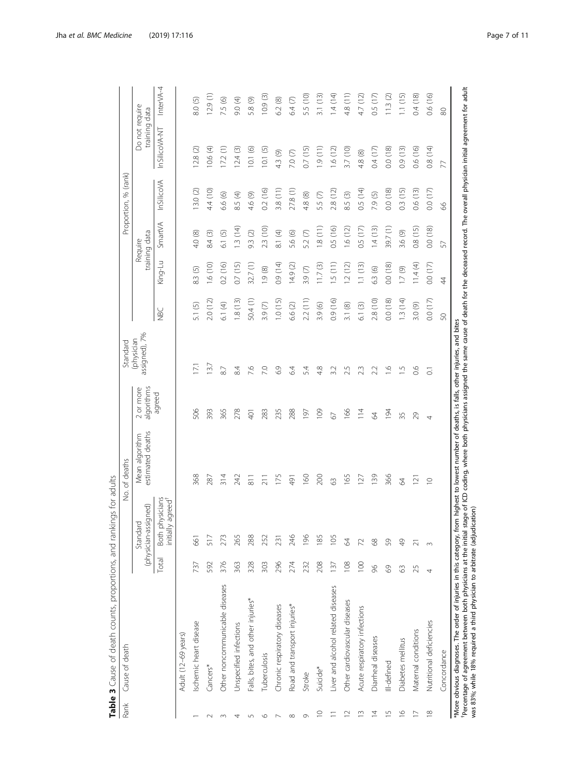<span id="page-6-0"></span>

| 1.1(15)<br>10.9(3)<br>ЭÕ<br>$\widetilde{13}$<br>1.4(14)<br>Ξ<br>4.7 (12)<br>0.5(17)<br>11.3(2)<br>129(1)<br>9.0 (4)<br>⊙<br>7.5 (6)<br>5.8 (9)<br>⊚<br>$\circ$<br>Do not require<br>64<br>5.5<br>8.0<br>4.8<br>6.2<br>$\overline{3}$ .<br>training data<br>80<br>InSilicoVA-NT<br>0.8(14)<br>10.6 (4)<br>12.4(3)<br>1.9(11)<br>3.7(10)<br>0.4(17)<br>0.0(18)<br>0.9(13)<br>0.6(16)<br>12.8(2)<br>17.2(1)<br>10.1(6)<br>10.1(5)<br>0.7(15)<br>1.6(12)<br>4.3 (9)<br>7.0(7)<br>4.8 (8)<br>77<br>InSilicoVA<br>0.5(14)<br>0.3(15)<br>0.6(13)<br>13.0(2)<br>4.4 (10)<br>0.2(16)<br>3.8(11)<br>27.8(1)<br>2.8(12)<br>0.0(18)<br>0.0(17)<br>8.5 (4)<br>6.6 (6)<br>4.8 (8)<br>5.5 (7)<br>8.5(3)<br>7.9 (5)<br>4.6 (9)<br>8<br>SmartVA<br>1.3(14)<br>2.3 (10)<br>1.8(11)<br>0.5(16)<br>1.6(12)<br>1.4(13)<br>39.7(1)<br>0.8(15)<br>0.0(18)<br>0.5(17)<br>training data<br>$\widehat{\circ}$<br>$\bigoplus$<br>$\circledcirc$<br>$\odot$<br>3.6 (9)<br>⊙<br>$\odot$<br>⊗<br>Require<br>4.0<br>84<br>9.3<br>5.2<br>$\overline{6}$ .<br>$\overline{\infty}$<br>5.6<br>57<br>King-Lu<br>0.7(15)<br>(14)<br>1.6(10)<br>0.2(16)<br>32.7(1)<br>14.9(2)<br>.5(11)<br>1.1(13)<br>0.0(18)<br>11.4(4)<br>0.0(17)<br>11.7(3)<br>1.2(12)<br>3.9(7)<br>1.9(8)<br>6.3(6)<br>1.7(9)<br>8.3 (5)<br>$\overline{4}$<br>2.2(11)<br>1.8(13)<br>50.4 (1)<br>1.0(15)<br>2.8 (10)<br>0.0(18)<br>1.3 (14)<br>2.0 (12)<br>0.9(16)<br>0.0(17)<br>6.1(4)<br>3.0 (9)<br>3.9(7)<br>6.6 (2)<br>3.9 (6)<br>3.1(8)<br>6.1(3)<br>$\odot$<br><b>NBC</b><br>51<br>SO<br>assigned), 7%<br>$\overline{37}$<br>$\overline{z}$<br>8.4<br>7.6<br>6.9<br>$\frac{6}{1}$<br>0.6<br>87<br>7.0<br>64<br>5.4<br>$\frac{8}{4}$<br>3.2<br>2.5<br>23<br>2.2<br>η<br>$\overline{\circ}$<br>algorithms<br>2 or more<br>agreed<br>506<br>365<br>393<br>278<br>288<br>109<br>166<br>283<br>235<br>$\frac{4}{11}$<br>194<br>401<br><u>lej</u><br>29<br>67<br>2<br>35<br>4<br>estimated deaths<br>Mean algorithm<br>139<br>366<br>368<br>$\frac{314}{5}$<br>242<br>200<br>287<br>175<br>160<br>165<br>$\overline{8}$<br>127<br>$\overline{211}$<br>16Þ<br>$\overline{2}$<br>63<br>2<br>$\supseteq$<br>Both physicians<br>agreed <sup>†</sup><br>(physician-assigned)<br>Standard<br>initially<br>246<br>265<br>288<br>196<br>185<br>517<br>273<br>252<br>105<br>661<br>231<br>2<br>$8^{\circ}$<br>S9<br>$\frac{1}{2}$<br>72<br>$\overline{\sim}$<br>$\infty$<br>Total<br>376<br>363<br>328<br>208<br>108<br>592<br>303<br>296<br>274<br>$\overline{100}$<br>737<br>232<br>137<br>$\%$<br>$\odot$<br>25<br>63<br>Other noncommunicable diseases<br>Liver and alcohol related diseases<br>Falls, bites, and other injuries*<br>Other cardiovascular diseases<br>Road and transport injuries*<br>Chronic respiratory diseases<br>Acute respiratory infections<br>Nutritional deficiencies<br>Ischemic heart disease<br>Unspecified infections<br>Maternal conditions<br>Adult (12-69 years)<br>Diarrheal diseases<br>Diabetes mellitus<br>Concordance<br>Tuberculosis<br>Ill-defined<br>Cancers*<br>Suicide*<br>Stroke<br>$\overline{1}$<br>$\frac{\infty}{\infty}$<br>$\frac{8}{10}$<br>$\supseteq$<br>$\widetilde{\Box}$<br>$\overline{4}$<br>$\overline{1}$<br>$\supseteq$<br>$\circ$<br>$\circ$<br>$\infty$<br>$\sim$<br>m<br>4<br>5<br>$\overline{ }$ | Rank | Cause of death | ings for adults | No. of deaths | Standard   |  | Proportion, % (rank) |           |
|-----------------------------------------------------------------------------------------------------------------------------------------------------------------------------------------------------------------------------------------------------------------------------------------------------------------------------------------------------------------------------------------------------------------------------------------------------------------------------------------------------------------------------------------------------------------------------------------------------------------------------------------------------------------------------------------------------------------------------------------------------------------------------------------------------------------------------------------------------------------------------------------------------------------------------------------------------------------------------------------------------------------------------------------------------------------------------------------------------------------------------------------------------------------------------------------------------------------------------------------------------------------------------------------------------------------------------------------------------------------------------------------------------------------------------------------------------------------------------------------------------------------------------------------------------------------------------------------------------------------------------------------------------------------------------------------------------------------------------------------------------------------------------------------------------------------------------------------------------------------------------------------------------------------------------------------------------------------------------------------------------------------------------------------------------------------------------------------------------------------------------------------------------------------------------------------------------------------------------------------------------------------------------------------------------------------------------------------------------------------------------------------------------------------------------------------------------------------------------------------------------------------------------------------------------------------------------------------------------------------------------------------------------------------------------------------------------------------------------------------------------------------------------------------------------------------------------------------------------------------------------------------------------------------------------------------------------------------------------------------------------------------------------------------------------------------------------------------------------------------------------------------------------------------------------------------------------------------------------------------------------------------------------------------|------|----------------|-----------------|---------------|------------|--|----------------------|-----------|
|                                                                                                                                                                                                                                                                                                                                                                                                                                                                                                                                                                                                                                                                                                                                                                                                                                                                                                                                                                                                                                                                                                                                                                                                                                                                                                                                                                                                                                                                                                                                                                                                                                                                                                                                                                                                                                                                                                                                                                                                                                                                                                                                                                                                                                                                                                                                                                                                                                                                                                                                                                                                                                                                                                                                                                                                                                                                                                                                                                                                                                                                                                                                                                                                                                                                                         |      |                |                 |               | (physician |  |                      |           |
|                                                                                                                                                                                                                                                                                                                                                                                                                                                                                                                                                                                                                                                                                                                                                                                                                                                                                                                                                                                                                                                                                                                                                                                                                                                                                                                                                                                                                                                                                                                                                                                                                                                                                                                                                                                                                                                                                                                                                                                                                                                                                                                                                                                                                                                                                                                                                                                                                                                                                                                                                                                                                                                                                                                                                                                                                                                                                                                                                                                                                                                                                                                                                                                                                                                                                         |      |                |                 |               |            |  |                      | InterVA-4 |
|                                                                                                                                                                                                                                                                                                                                                                                                                                                                                                                                                                                                                                                                                                                                                                                                                                                                                                                                                                                                                                                                                                                                                                                                                                                                                                                                                                                                                                                                                                                                                                                                                                                                                                                                                                                                                                                                                                                                                                                                                                                                                                                                                                                                                                                                                                                                                                                                                                                                                                                                                                                                                                                                                                                                                                                                                                                                                                                                                                                                                                                                                                                                                                                                                                                                                         |      |                |                 |               |            |  |                      |           |
|                                                                                                                                                                                                                                                                                                                                                                                                                                                                                                                                                                                                                                                                                                                                                                                                                                                                                                                                                                                                                                                                                                                                                                                                                                                                                                                                                                                                                                                                                                                                                                                                                                                                                                                                                                                                                                                                                                                                                                                                                                                                                                                                                                                                                                                                                                                                                                                                                                                                                                                                                                                                                                                                                                                                                                                                                                                                                                                                                                                                                                                                                                                                                                                                                                                                                         |      |                |                 |               |            |  |                      |           |
|                                                                                                                                                                                                                                                                                                                                                                                                                                                                                                                                                                                                                                                                                                                                                                                                                                                                                                                                                                                                                                                                                                                                                                                                                                                                                                                                                                                                                                                                                                                                                                                                                                                                                                                                                                                                                                                                                                                                                                                                                                                                                                                                                                                                                                                                                                                                                                                                                                                                                                                                                                                                                                                                                                                                                                                                                                                                                                                                                                                                                                                                                                                                                                                                                                                                                         |      |                |                 |               |            |  |                      |           |
|                                                                                                                                                                                                                                                                                                                                                                                                                                                                                                                                                                                                                                                                                                                                                                                                                                                                                                                                                                                                                                                                                                                                                                                                                                                                                                                                                                                                                                                                                                                                                                                                                                                                                                                                                                                                                                                                                                                                                                                                                                                                                                                                                                                                                                                                                                                                                                                                                                                                                                                                                                                                                                                                                                                                                                                                                                                                                                                                                                                                                                                                                                                                                                                                                                                                                         |      |                |                 |               |            |  |                      |           |
|                                                                                                                                                                                                                                                                                                                                                                                                                                                                                                                                                                                                                                                                                                                                                                                                                                                                                                                                                                                                                                                                                                                                                                                                                                                                                                                                                                                                                                                                                                                                                                                                                                                                                                                                                                                                                                                                                                                                                                                                                                                                                                                                                                                                                                                                                                                                                                                                                                                                                                                                                                                                                                                                                                                                                                                                                                                                                                                                                                                                                                                                                                                                                                                                                                                                                         |      |                |                 |               |            |  |                      |           |
|                                                                                                                                                                                                                                                                                                                                                                                                                                                                                                                                                                                                                                                                                                                                                                                                                                                                                                                                                                                                                                                                                                                                                                                                                                                                                                                                                                                                                                                                                                                                                                                                                                                                                                                                                                                                                                                                                                                                                                                                                                                                                                                                                                                                                                                                                                                                                                                                                                                                                                                                                                                                                                                                                                                                                                                                                                                                                                                                                                                                                                                                                                                                                                                                                                                                                         |      |                |                 |               |            |  |                      |           |
|                                                                                                                                                                                                                                                                                                                                                                                                                                                                                                                                                                                                                                                                                                                                                                                                                                                                                                                                                                                                                                                                                                                                                                                                                                                                                                                                                                                                                                                                                                                                                                                                                                                                                                                                                                                                                                                                                                                                                                                                                                                                                                                                                                                                                                                                                                                                                                                                                                                                                                                                                                                                                                                                                                                                                                                                                                                                                                                                                                                                                                                                                                                                                                                                                                                                                         |      |                |                 |               |            |  |                      |           |
|                                                                                                                                                                                                                                                                                                                                                                                                                                                                                                                                                                                                                                                                                                                                                                                                                                                                                                                                                                                                                                                                                                                                                                                                                                                                                                                                                                                                                                                                                                                                                                                                                                                                                                                                                                                                                                                                                                                                                                                                                                                                                                                                                                                                                                                                                                                                                                                                                                                                                                                                                                                                                                                                                                                                                                                                                                                                                                                                                                                                                                                                                                                                                                                                                                                                                         |      |                |                 |               |            |  |                      |           |
|                                                                                                                                                                                                                                                                                                                                                                                                                                                                                                                                                                                                                                                                                                                                                                                                                                                                                                                                                                                                                                                                                                                                                                                                                                                                                                                                                                                                                                                                                                                                                                                                                                                                                                                                                                                                                                                                                                                                                                                                                                                                                                                                                                                                                                                                                                                                                                                                                                                                                                                                                                                                                                                                                                                                                                                                                                                                                                                                                                                                                                                                                                                                                                                                                                                                                         |      |                |                 |               |            |  |                      |           |
|                                                                                                                                                                                                                                                                                                                                                                                                                                                                                                                                                                                                                                                                                                                                                                                                                                                                                                                                                                                                                                                                                                                                                                                                                                                                                                                                                                                                                                                                                                                                                                                                                                                                                                                                                                                                                                                                                                                                                                                                                                                                                                                                                                                                                                                                                                                                                                                                                                                                                                                                                                                                                                                                                                                                                                                                                                                                                                                                                                                                                                                                                                                                                                                                                                                                                         |      |                |                 |               |            |  |                      |           |
|                                                                                                                                                                                                                                                                                                                                                                                                                                                                                                                                                                                                                                                                                                                                                                                                                                                                                                                                                                                                                                                                                                                                                                                                                                                                                                                                                                                                                                                                                                                                                                                                                                                                                                                                                                                                                                                                                                                                                                                                                                                                                                                                                                                                                                                                                                                                                                                                                                                                                                                                                                                                                                                                                                                                                                                                                                                                                                                                                                                                                                                                                                                                                                                                                                                                                         |      |                |                 |               |            |  |                      |           |
|                                                                                                                                                                                                                                                                                                                                                                                                                                                                                                                                                                                                                                                                                                                                                                                                                                                                                                                                                                                                                                                                                                                                                                                                                                                                                                                                                                                                                                                                                                                                                                                                                                                                                                                                                                                                                                                                                                                                                                                                                                                                                                                                                                                                                                                                                                                                                                                                                                                                                                                                                                                                                                                                                                                                                                                                                                                                                                                                                                                                                                                                                                                                                                                                                                                                                         |      |                |                 |               |            |  |                      |           |
|                                                                                                                                                                                                                                                                                                                                                                                                                                                                                                                                                                                                                                                                                                                                                                                                                                                                                                                                                                                                                                                                                                                                                                                                                                                                                                                                                                                                                                                                                                                                                                                                                                                                                                                                                                                                                                                                                                                                                                                                                                                                                                                                                                                                                                                                                                                                                                                                                                                                                                                                                                                                                                                                                                                                                                                                                                                                                                                                                                                                                                                                                                                                                                                                                                                                                         |      |                |                 |               |            |  |                      |           |
|                                                                                                                                                                                                                                                                                                                                                                                                                                                                                                                                                                                                                                                                                                                                                                                                                                                                                                                                                                                                                                                                                                                                                                                                                                                                                                                                                                                                                                                                                                                                                                                                                                                                                                                                                                                                                                                                                                                                                                                                                                                                                                                                                                                                                                                                                                                                                                                                                                                                                                                                                                                                                                                                                                                                                                                                                                                                                                                                                                                                                                                                                                                                                                                                                                                                                         |      |                |                 |               |            |  |                      |           |
|                                                                                                                                                                                                                                                                                                                                                                                                                                                                                                                                                                                                                                                                                                                                                                                                                                                                                                                                                                                                                                                                                                                                                                                                                                                                                                                                                                                                                                                                                                                                                                                                                                                                                                                                                                                                                                                                                                                                                                                                                                                                                                                                                                                                                                                                                                                                                                                                                                                                                                                                                                                                                                                                                                                                                                                                                                                                                                                                                                                                                                                                                                                                                                                                                                                                                         |      |                |                 |               |            |  |                      |           |
|                                                                                                                                                                                                                                                                                                                                                                                                                                                                                                                                                                                                                                                                                                                                                                                                                                                                                                                                                                                                                                                                                                                                                                                                                                                                                                                                                                                                                                                                                                                                                                                                                                                                                                                                                                                                                                                                                                                                                                                                                                                                                                                                                                                                                                                                                                                                                                                                                                                                                                                                                                                                                                                                                                                                                                                                                                                                                                                                                                                                                                                                                                                                                                                                                                                                                         |      |                |                 |               |            |  |                      |           |
|                                                                                                                                                                                                                                                                                                                                                                                                                                                                                                                                                                                                                                                                                                                                                                                                                                                                                                                                                                                                                                                                                                                                                                                                                                                                                                                                                                                                                                                                                                                                                                                                                                                                                                                                                                                                                                                                                                                                                                                                                                                                                                                                                                                                                                                                                                                                                                                                                                                                                                                                                                                                                                                                                                                                                                                                                                                                                                                                                                                                                                                                                                                                                                                                                                                                                         |      |                |                 |               |            |  |                      |           |
|                                                                                                                                                                                                                                                                                                                                                                                                                                                                                                                                                                                                                                                                                                                                                                                                                                                                                                                                                                                                                                                                                                                                                                                                                                                                                                                                                                                                                                                                                                                                                                                                                                                                                                                                                                                                                                                                                                                                                                                                                                                                                                                                                                                                                                                                                                                                                                                                                                                                                                                                                                                                                                                                                                                                                                                                                                                                                                                                                                                                                                                                                                                                                                                                                                                                                         |      |                |                 |               |            |  |                      | 0.4(18)   |
|                                                                                                                                                                                                                                                                                                                                                                                                                                                                                                                                                                                                                                                                                                                                                                                                                                                                                                                                                                                                                                                                                                                                                                                                                                                                                                                                                                                                                                                                                                                                                                                                                                                                                                                                                                                                                                                                                                                                                                                                                                                                                                                                                                                                                                                                                                                                                                                                                                                                                                                                                                                                                                                                                                                                                                                                                                                                                                                                                                                                                                                                                                                                                                                                                                                                                         |      |                |                 |               |            |  |                      | 0.6(16)   |
|                                                                                                                                                                                                                                                                                                                                                                                                                                                                                                                                                                                                                                                                                                                                                                                                                                                                                                                                                                                                                                                                                                                                                                                                                                                                                                                                                                                                                                                                                                                                                                                                                                                                                                                                                                                                                                                                                                                                                                                                                                                                                                                                                                                                                                                                                                                                                                                                                                                                                                                                                                                                                                                                                                                                                                                                                                                                                                                                                                                                                                                                                                                                                                                                                                                                                         |      |                |                 |               |            |  |                      |           |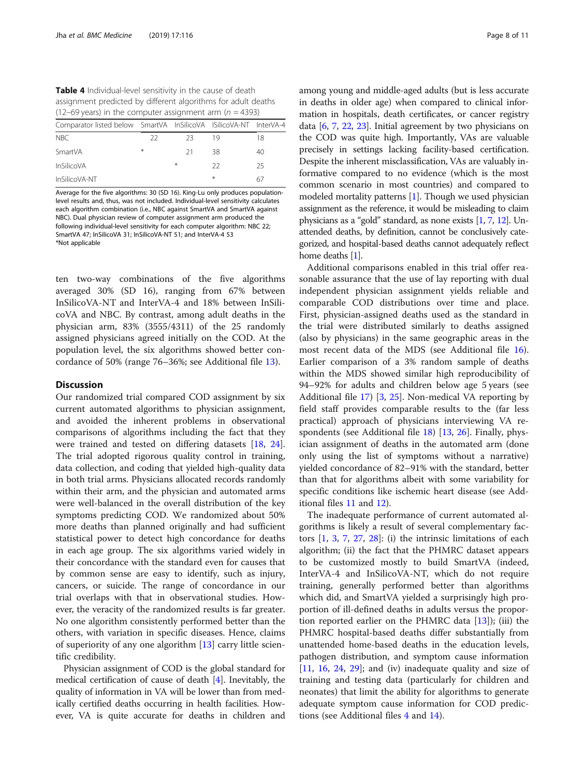<span id="page-7-0"></span>Table 4 Individual-level sensitivity in the cause of death assignment predicted by different algorithms for adult deaths (12–69 years) in the computer assignment arm ( $n = 4393$ )

| Comparator listed below SmartVA InSilicoVA ISilicoVA-NT InterVA-4 |     |     |     |    |
|-------------------------------------------------------------------|-----|-----|-----|----|
| N <sub>BC</sub>                                                   | 22. | -23 | 19  | 18 |
| SmartVA                                                           | $*$ | -21 | 38  | 40 |
| <b>InSilicoVA</b>                                                 |     | $*$ | 22  | 25 |
| InSilicoVA-NT                                                     |     |     | $*$ | 67 |

Average for the five algorithms: 30 (SD 16). King-Lu only produces populationlevel results and, thus, was not included. Individual-level sensitivity calculates each algorithm combination (i.e., NBC against SmartVA and SmartVA against NBC). Dual physician review of computer assignment arm produced the following individual-level sensitivity for each computer algorithm: NBC 22; SmartVA 47; InSilicoVA 31; InSilicoVA-NT 51; and InterVA-4 53 \*Not applicable

ten two-way combinations of the five algorithms averaged 30% (SD 16), ranging from 67% between InSilicoVA-NT and InterVA-4 and 18% between InSilicoVA and NBC. By contrast, among adult deaths in the physician arm, 83% (3555/4311) of the 25 randomly assigned physicians agreed initially on the COD. At the population level, the six algorithms showed better concordance of 50% (range 76–36%; see Additional file [13](#page-8-0)).

### **Discussion**

Our randomized trial compared COD assignment by six current automated algorithms to physician assignment, and avoided the inherent problems in observational comparisons of algorithms including the fact that they were trained and tested on differing datasets [[18](#page-10-0), [24](#page-10-0)]. The trial adopted rigorous quality control in training, data collection, and coding that yielded high-quality data in both trial arms. Physicians allocated records randomly within their arm, and the physician and automated arms were well-balanced in the overall distribution of the key symptoms predicting COD. We randomized about 50% more deaths than planned originally and had sufficient statistical power to detect high concordance for deaths in each age group. The six algorithms varied widely in their concordance with the standard even for causes that by common sense are easy to identify, such as injury, cancers, or suicide. The range of concordance in our trial overlaps with that in observational studies. However, the veracity of the randomized results is far greater. No one algorithm consistently performed better than the others, with variation in specific diseases. Hence, claims of superiority of any one algorithm [[13\]](#page-9-0) carry little scientific credibility.

Physician assignment of COD is the global standard for medical certification of cause of death [[4](#page-9-0)]. Inevitably, the quality of information in VA will be lower than from medically certified deaths occurring in health facilities. However, VA is quite accurate for deaths in children and

among young and middle-aged adults (but is less accurate in deaths in older age) when compared to clinical information in hospitals, death certificates, or cancer registry data  $[6, 7, 22, 23]$  $[6, 7, 22, 23]$  $[6, 7, 22, 23]$  $[6, 7, 22, 23]$  $[6, 7, 22, 23]$  $[6, 7, 22, 23]$  $[6, 7, 22, 23]$ . Initial agreement by two physicians on the COD was quite high. Importantly, VAs are valuable precisely in settings lacking facility-based certification. Despite the inherent misclassification, VAs are valuably informative compared to no evidence (which is the most common scenario in most countries) and compared to modeled mortality patterns [\[1](#page-9-0)]. Though we used physician assignment as the reference, it would be misleading to claim physicians as a "gold" standard, as none exists [\[1](#page-9-0), [7](#page-9-0), [12](#page-9-0)]. Unattended deaths, by definition, cannot be conclusively categorized, and hospital-based deaths cannot adequately reflect home deaths [[1](#page-9-0)].

Additional comparisons enabled in this trial offer reasonable assurance that the use of lay reporting with dual independent physician assignment yields reliable and comparable COD distributions over time and place. First, physician-assigned deaths used as the standard in the trial were distributed similarly to deaths assigned (also by physicians) in the same geographic areas in the most recent data of the MDS (see Additional file [16](#page-9-0)). Earlier comparison of a 3% random sample of deaths within the MDS showed similar high reproducibility of 94–92% for adults and children below age 5 years (see Additional file [17\)](#page-9-0) [\[3](#page-9-0), [25](#page-10-0)]. Non-medical VA reporting by field staff provides comparable results to the (far less practical) approach of physicians interviewing VA respondents (see Additional file [18\)](#page-9-0) [\[13,](#page-9-0) [26](#page-10-0)]. Finally, physician assignment of deaths in the automated arm (done only using the list of symptoms without a narrative) yielded concordance of 82–91% with the standard, better than that for algorithms albeit with some variability for specific conditions like ischemic heart disease (see Additional files [11](#page-8-0) and [12](#page-8-0)).

The inadequate performance of current automated algorithms is likely a result of several complementary factors  $[1, 3, 7, 27, 28]$  $[1, 3, 7, 27, 28]$  $[1, 3, 7, 27, 28]$  $[1, 3, 7, 27, 28]$  $[1, 3, 7, 27, 28]$  $[1, 3, 7, 27, 28]$  $[1, 3, 7, 27, 28]$  $[1, 3, 7, 27, 28]$  $[1, 3, 7, 27, 28]$  $[1, 3, 7, 27, 28]$ : (i) the intrinsic limitations of each algorithm; (ii) the fact that the PHMRC dataset appears to be customized mostly to build SmartVA (indeed, InterVA-4 and InSilicoVA-NT, which do not require training, generally performed better than algorithms which did, and SmartVA yielded a surprisingly high proportion of ill-defined deaths in adults versus the proportion reported earlier on the PHMRC data [\[13\]](#page-9-0)); (iii) the PHMRC hospital-based deaths differ substantially from unattended home-based deaths in the education levels, pathogen distribution, and symptom cause information [[11,](#page-9-0) [16,](#page-9-0) [24,](#page-10-0) [29\]](#page-10-0); and (iv) inadequate quality and size of training and testing data (particularly for children and neonates) that limit the ability for algorithms to generate adequate symptom cause information for COD predictions (see Additional files  $4$  and  $14$ ).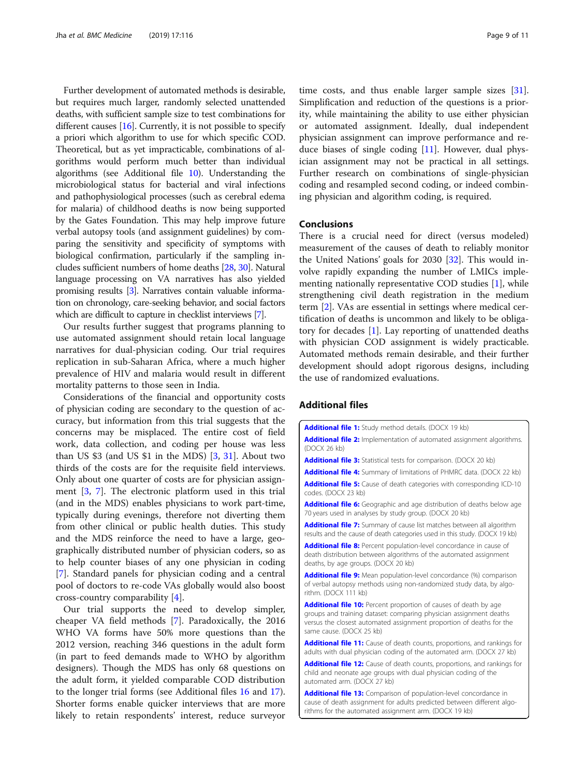<span id="page-8-0"></span>Further development of automated methods is desirable, but requires much larger, randomly selected unattended deaths, with sufficient sample size to test combinations for different causes  $[16]$  $[16]$ . Currently, it is not possible to specify a priori which algorithm to use for which specific COD. Theoretical, but as yet impracticable, combinations of algorithms would perform much better than individual algorithms (see Additional file 10). Understanding the microbiological status for bacterial and viral infections and pathophysiological processes (such as cerebral edema for malaria) of childhood deaths is now being supported by the Gates Foundation. This may help improve future verbal autopsy tools (and assignment guidelines) by comparing the sensitivity and specificity of symptoms with biological confirmation, particularly if the sampling includes sufficient numbers of home deaths [\[28](#page-10-0), [30](#page-10-0)]. Natural language processing on VA narratives has also yielded promising results [[3](#page-9-0)]. Narratives contain valuable information on chronology, care-seeking behavior, and social factors which are difficult to capture in checklist interviews [\[7](#page-9-0)].

Our results further suggest that programs planning to use automated assignment should retain local language narratives for dual-physician coding. Our trial requires replication in sub-Saharan Africa, where a much higher prevalence of HIV and malaria would result in different mortality patterns to those seen in India.

Considerations of the financial and opportunity costs of physician coding are secondary to the question of accuracy, but information from this trial suggests that the concerns may be misplaced. The entire cost of field work, data collection, and coding per house was less than US \$3 (and US \$1 in the MDS) [\[3](#page-9-0), [31](#page-10-0)]. About two thirds of the costs are for the requisite field interviews. Only about one quarter of costs are for physician assignment [[3,](#page-9-0) [7\]](#page-9-0). The electronic platform used in this trial (and in the MDS) enables physicians to work part-time, typically during evenings, therefore not diverting them from other clinical or public health duties. This study and the MDS reinforce the need to have a large, geographically distributed number of physician coders, so as to help counter biases of any one physician in coding [[7\]](#page-9-0). Standard panels for physician coding and a central pool of doctors to re-code VAs globally would also boost cross-country comparability [\[4](#page-9-0)].

Our trial supports the need to develop simpler, cheaper VA field methods [[7\]](#page-9-0). Paradoxically, the 2016 WHO VA forms have 50% more questions than the 2012 version, reaching 346 questions in the adult form (in part to feed demands made to WHO by algorithm designers). Though the MDS has only 68 questions on the adult form, it yielded comparable COD distribution to the longer trial forms (see Additional files [16](#page-9-0) and [17](#page-9-0)). Shorter forms enable quicker interviews that are more likely to retain respondents' interest, reduce surveyor

time costs, and thus enable larger sample sizes [\[31](#page-10-0)]. Simplification and reduction of the questions is a priority, while maintaining the ability to use either physician or automated assignment. Ideally, dual independent physician assignment can improve performance and reduce biases of single coding  $[11]$  $[11]$ . However, dual physician assignment may not be practical in all settings. Further research on combinations of single-physician coding and resampled second coding, or indeed combining physician and algorithm coding, is required.

# Conclusions

There is a crucial need for direct (versus modeled) measurement of the causes of death to reliably monitor the United Nations' goals for 2030 [[32\]](#page-10-0). This would involve rapidly expanding the number of LMICs implementing nationally representative COD studies [[1\]](#page-9-0), while strengthening civil death registration in the medium term [\[2](#page-9-0)]. VAs are essential in settings where medical certification of deaths is uncommon and likely to be obligatory for decades  $[1]$  $[1]$ . Lay reporting of unattended deaths with physician COD assignment is widely practicable. Automated methods remain desirable, and their further development should adopt rigorous designs, including the use of randomized evaluations.

# Additional files

[Additional file 1:](https://doi.org/10.1186/s12916-019-1353-2) Study method details. (DOCX 19 kb) [Additional file 2:](https://doi.org/10.1186/s12916-019-1353-2) Implementation of automated assignment algorithms. (DOCX 26 kb) [Additional file 3:](https://doi.org/10.1186/s12916-019-1353-2) Statistical tests for comparison. (DOCX 20 kb) [Additional file 4:](https://doi.org/10.1186/s12916-019-1353-2) Summary of limitations of PHMRC data. (DOCX 22 kb) [Additional file 5:](https://doi.org/10.1186/s12916-019-1353-2) Cause of death categories with corresponding ICD-10 codes. (DOCX 23 kb) [Additional file 6:](https://doi.org/10.1186/s12916-019-1353-2) Geographic and age distribution of deaths below age 70 years used in analyses by study group. (DOCX 20 kb) [Additional file 7:](https://doi.org/10.1186/s12916-019-1353-2) Summary of cause list matches between all algorithm results and the cause of death categories used in this study. (DOCX 19 kb) [Additional file 8:](https://doi.org/10.1186/s12916-019-1353-2) Percent population-level concordance in cause of death distribution between algorithms of the automated assignment deaths, by age groups. (DOCX 20 kb) [Additional file 9:](https://doi.org/10.1186/s12916-019-1353-2) Mean population-level concordance (%) comparison of verbal autopsy methods using non-randomized study data, by algorithm. (DOCX 111 kb) [Additional file 10:](https://doi.org/10.1186/s12916-019-1353-2) Percent proportion of causes of death by age groups and training dataset: comparing physician assignment deaths versus the closest automated assignment proportion of deaths for the same cause. (DOCX 25 kb) [Additional file 11:](https://doi.org/10.1186/s12916-019-1353-2) Cause of death counts, proportions, and rankings for adults with dual physician coding of the automated arm. (DOCX 27 kb) [Additional file 12:](https://doi.org/10.1186/s12916-019-1353-2) Cause of death counts, proportions, and rankings for child and neonate age groups with dual physician coding of the automated arm. (DOCX 27 kb)

[Additional file 13:](https://doi.org/10.1186/s12916-019-1353-2) Comparison of population-level concordance in cause of death assignment for adults predicted between different algorithms for the automated assignment arm. (DOCX 19 kb)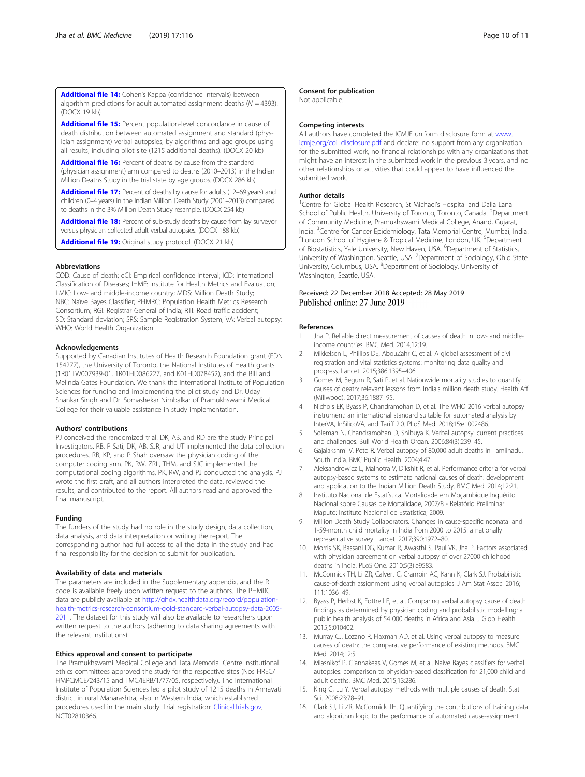<span id="page-9-0"></span>[Additional file 14:](https://doi.org/10.1186/s12916-019-1353-2) Cohen's Kappa (confidence intervals) between algorithm predictions for adult automated assignment deaths ( $N = 4393$ ).  $(DDCY 19 k)$ 

[Additional file 15:](https://doi.org/10.1186/s12916-019-1353-2) Percent population-level concordance in cause of death distribution between automated assignment and standard (physician assignment) verbal autopsies, by algorithms and age groups using all results, including pilot site (1215 additional deaths). (DOCX 20 kb)

[Additional file 16:](https://doi.org/10.1186/s12916-019-1353-2) Percent of deaths by cause from the standard (physician assignment) arm compared to deaths (2010–2013) in the Indian Million Deaths Study in the trial state by age groups. (DOCX 286 kb)

[Additional file 17:](https://doi.org/10.1186/s12916-019-1353-2) Percent of deaths by cause for adults (12-69 years) and children (0–4 years) in the Indian Million Death Study (2001–2013) compared to deaths in the 3% Million Death Study resample. (DOCX 254 kb)

[Additional file 18:](https://doi.org/10.1186/s12916-019-1353-2) Percent of sub-study deaths by cause from lay surveyor versus physician collected adult verbal autopsies. (DOCX 188 kb)

[Additional file 19:](https://doi.org/10.1186/s12916-019-1353-2) Original study protocol. (DOCX 21 kb)

#### Abbreviations

COD: Cause of death; eCI: Empirical confidence interval; ICD: International Classification of Diseases; IHME: Institute for Health Metrics and Evaluation; LMIC: Low- and middle-income country; MDS: Million Death Study; NBC: Naïve Bayes Classifier; PHMRC: Population Health Metrics Research Consortium; RGI: Registrar General of India; RTI: Road traffic accident; SD: Standard deviation; SRS: Sample Registration System; VA: Verbal autopsy; WHO: World Health Organization

#### Acknowledgements

Supported by Canadian Institutes of Health Research Foundation grant (FDN 154277), the University of Toronto, the National Institutes of Health grants (1R01TW007939-01, 1R01HD086227, and K01HD078452), and the Bill and Melinda Gates Foundation. We thank the International Institute of Population Sciences for funding and implementing the pilot study and Dr. Uday Shankar Singh and Dr. Somashekar Nimbalkar of Pramukhswami Medical College for their valuable assistance in study implementation.

#### Authors' contributions

PJ conceived the randomized trial. DK, AB, and RD are the study Principal Investigators. RB, P Sati, DK, AB, SJR, and UT implemented the data collection procedures. RB, KP, and P Shah oversaw the physician coding of the computer coding arm. PK, RW, ZRL, THM, and SJC implemented the computational coding algorithms. PK, RW, and PJ conducted the analysis. PJ wrote the first draft, and all authors interpreted the data, reviewed the results, and contributed to the report. All authors read and approved the final manuscript.

#### Funding

The funders of the study had no role in the study design, data collection, data analysis, and data interpretation or writing the report. The corresponding author had full access to all the data in the study and had final responsibility for the decision to submit for publication.

#### Availability of data and materials

The parameters are included in the Supplementary appendix, and the R code is available freely upon written request to the authors. The PHMRC data are publicly available at [http://ghdx.healthdata.org/record/population](http://ghdx.healthdata.org/record/population-health-metrics-research-consortium-gold-standard-verbal-autopsy-data-2005-2011)[health-metrics-research-consortium-gold-standard-verbal-autopsy-data-2005-](http://ghdx.healthdata.org/record/population-health-metrics-research-consortium-gold-standard-verbal-autopsy-data-2005-2011) [2011](http://ghdx.healthdata.org/record/population-health-metrics-research-consortium-gold-standard-verbal-autopsy-data-2005-2011). The dataset for this study will also be available to researchers upon written request to the authors (adhering to data sharing agreements with the relevant institutions).

#### Ethics approval and consent to participate

The Pramukhswami Medical College and Tata Memorial Centre institutional ethics committees approved the study for the respective sites (Nos HREC/ HMPCMCE/243/15 and TMC/IERB/1/77/05, respectively). The International Institute of Population Sciences led a pilot study of 1215 deaths in Amravati district in rural Maharashtra, also in Western India, which established procedures used in the main study. Trial registration: [ClinicalTrials.gov](http://clinicaltrials.gov), NCT02810366.

#### Consent for publication

Not applicable.

#### Competing interests

All authors have completed the ICMJE uniform disclosure form at [www.](http://www.icmje.org/coi_disclosure.pdf) [icmje.org/coi\\_disclosure.pdf](http://www.icmje.org/coi_disclosure.pdf) and declare: no support from any organization for the submitted work, no financial relationships with any organizations that might have an interest in the submitted work in the previous 3 years, and no other relationships or activities that could appear to have influenced the submitted work.

#### Author details

<sup>1</sup> Centre for Global Health Research, St Michael's Hospital and Dalla Lana School of Public Health, University of Toronto, Toronto, Canada. <sup>2</sup>Department of Community Medicine, Pramukhswami Medical College, Anand, Gujarat, India. <sup>3</sup>Centre for Cancer Epidemiology, Tata Memorial Centre, Mumbai, India.<br><sup>4</sup>Londen School of Hygione & Tropical Medicine, Londen, UK. <sup>5</sup>Department. London School of Hygiene & Tropical Medicine, London, UK. <sup>5</sup>Department of Biostatistics, Yale University, New Haven, USA. <sup>6</sup>Department of Statistics University of Washington, Seattle, USA. <sup>7</sup> Department of Sociology, Ohio State University, Columbus, USA. <sup>8</sup>Department of Sociology, University of Washington, Seattle, USA.

#### Received: 22 December 2018 Accepted: 28 May 2019 Published online: 27 June 2019

#### References

- 1. Jha P. Reliable direct measurement of causes of death in low- and middleincome countries. BMC Med. 2014;12:19.
- 2. Mikkelsen L, Phillips DE, AbouZahr C, et al. A global assessment of civil registration and vital statistics systems: monitoring data quality and progress. Lancet. 2015;386:1395–406.
- 3. Gomes M, Begum R, Sati P, et al. Nationwide mortality studies to quantify causes of death: relevant lessons from India's million death study. Health Aff (Millwood). 2017;36:1887–95.
- 4. Nichols EK, Byass P, Chandramohan D, et al. The WHO 2016 verbal autopsy instrument: an international standard suitable for automated analysis by InterVA, InSilicoVA, and Tariff 2.0. PLoS Med. 2018;15:e1002486.
- 5. Soleman N, Chandramohan D, Shibuya K. Verbal autopsy: current practices and challenges. Bull World Health Organ. 2006;84(3):239–45.
- 6. Gajalakshmi V, Peto R. Verbal autopsy of 80,000 adult deaths in Tamilnadu, South India. BMC Public Health. 2004;4:47.
- 7. Aleksandrowicz L, Malhotra V, Dikshit R, et al. Performance criteria for verbal autopsy-based systems to estimate national causes of death: development and application to the Indian Million Death Study. BMC Med. 2014;12:21.
- 8. Instituto Nacional de Estatística. Mortalidade em Moçambique Inquérito Nacional sobre Causas de Mortalidade, 2007/8 - Relatório Preliminar. Maputo: Instituto Nacional de Estatística; 2009.
- 9. Million Death Study Collaborators. Changes in cause-specific neonatal and 1-59-month child mortality in India from 2000 to 2015: a nationally representative survey. Lancet. 2017;390:1972–80.
- 10. Morris SK, Bassani DG, Kumar R, Awasthi S, Paul VK, Jha P. Factors associated with physician agreement on verbal autopsy of over 27000 childhood deaths in India. PLoS One. 2010;5(3):e9583.
- 11. McCormick TH, Li ZR, Calvert C, Crampin AC, Kahn K, Clark SJ. Probabilistic cause-of-death assignment using verbal autopsies. J Am Stat Assoc. 2016; 111:1036–49.
- 12. Byass P, Herbst K, Fottrell E, et al. Comparing verbal autopsy cause of death findings as determined by physician coding and probabilistic modelling: a public health analysis of 54 000 deaths in Africa and Asia. J Glob Health. 2015;5:010402.
- 13. Murray CJ, Lozano R, Flaxman AD, et al. Using verbal autopsy to measure causes of death: the comparative performance of existing methods. BMC Med. 2014;12:5.
- 14. Miasnikof P, Giannakeas V, Gomes M, et al. Naive Bayes classifiers for verbal autopsies: comparison to physician-based classification for 21,000 child and adult deaths. BMC Med. 2015;13:286.
- 15. King G, Lu Y. Verbal autopsy methods with multiple causes of death. Stat Sci. 2008;23:78–91.
- 16. Clark SJ, Li ZR, McCormick TH. Quantifying the contributions of training data and algorithm logic to the performance of automated cause-assignment